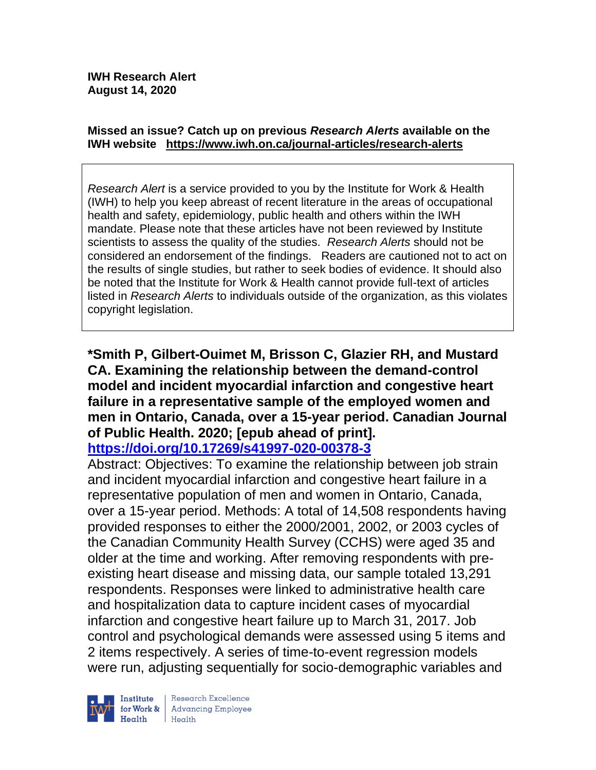#### **Missed an issue? Catch up on previous** *Research Alerts* **available on the [IWH website](http://www.iwh.on.ca/research-alerts) <https://www.iwh.on.ca/journal-articles/research-alerts>**

*Research Alert* is a service provided to you by the Institute for Work & Health (IWH) to help you keep abreast of recent literature in the areas of occupational health and safety, epidemiology, public health and others within the IWH mandate. Please note that these articles have not been reviewed by Institute scientists to assess the quality of the studies. *Research Alerts* should not be considered an endorsement of the findings. Readers are cautioned not to act on the results of single studies, but rather to seek bodies of evidence. It should also be noted that the Institute for Work & Health cannot provide full-text of articles listed in *Research Alerts* to individuals outside of the organization, as this violates copyright legislation.

**\*Smith P, Gilbert-Ouimet M, Brisson C, Glazier RH, and Mustard CA. Examining the relationship between the demand-control model and incident myocardial infarction and congestive heart failure in a representative sample of the employed women and men in Ontario, Canada, over a 15-year period. Canadian Journal of Public Health. 2020; [epub ahead of print].**

**<https://doi.org/10.17269/s41997-020-00378-3>** 

Abstract: Objectives: To examine the relationship between job strain and incident myocardial infarction and congestive heart failure in a representative population of men and women in Ontario, Canada, over a 15-year period. Methods: A total of 14,508 respondents having provided responses to either the 2000/2001, 2002, or 2003 cycles of the Canadian Community Health Survey (CCHS) were aged 35 and older at the time and working. After removing respondents with preexisting heart disease and missing data, our sample totaled 13,291 respondents. Responses were linked to administrative health care and hospitalization data to capture incident cases of myocardial infarction and congestive heart failure up to March 31, 2017. Job control and psychological demands were assessed using 5 items and 2 items respectively. A series of time-to-event regression models were run, adjusting sequentially for socio-demographic variables and



Research Excellence for Work & Advancing Employee<br>Health Health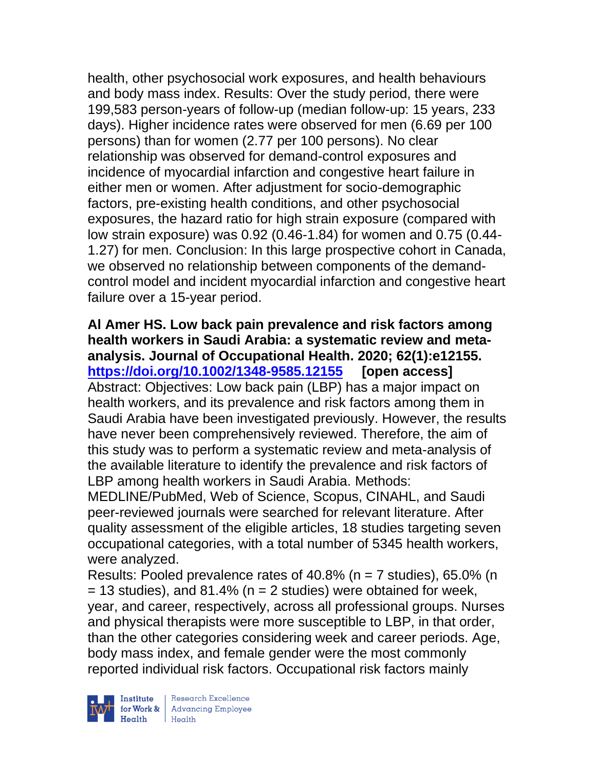health, other psychosocial work exposures, and health behaviours and body mass index. Results: Over the study period, there were 199,583 person-years of follow-up (median follow-up: 15 years, 233 days). Higher incidence rates were observed for men (6.69 per 100 persons) than for women (2.77 per 100 persons). No clear relationship was observed for demand-control exposures and incidence of myocardial infarction and congestive heart failure in either men or women. After adjustment for socio-demographic factors, pre-existing health conditions, and other psychosocial exposures, the hazard ratio for high strain exposure (compared with low strain exposure) was 0.92 (0.46-1.84) for women and 0.75 (0.44- 1.27) for men. Conclusion: In this large prospective cohort in Canada, we observed no relationship between components of the demandcontrol model and incident myocardial infarction and congestive heart failure over a 15-year period.

**Al Amer HS. Low back pain prevalence and risk factors among health workers in Saudi Arabia: a systematic review and metaanalysis. Journal of Occupational Health. 2020; 62(1):e12155. <https://doi.org/10.1002/1348-9585.12155> [open access]** Abstract: Objectives: Low back pain (LBP) has a major impact on health workers, and its prevalence and risk factors among them in Saudi Arabia have been investigated previously. However, the results have never been comprehensively reviewed. Therefore, the aim of this study was to perform a systematic review and meta-analysis of the available literature to identify the prevalence and risk factors of LBP among health workers in Saudi Arabia. Methods:

MEDLINE/PubMed, Web of Science, Scopus, CINAHL, and Saudi peer-reviewed journals were searched for relevant literature. After quality assessment of the eligible articles, 18 studies targeting seven occupational categories, with a total number of 5345 health workers, were analyzed.

Results: Pooled prevalence rates of 40.8% ( $n = 7$  studies), 65.0% (n  $= 13$  studies), and 81.4% (n = 2 studies) were obtained for week, year, and career, respectively, across all professional groups. Nurses and physical therapists were more susceptible to LBP, in that order, than the other categories considering week and career periods. Age, body mass index, and female gender were the most commonly reported individual risk factors. Occupational risk factors mainly

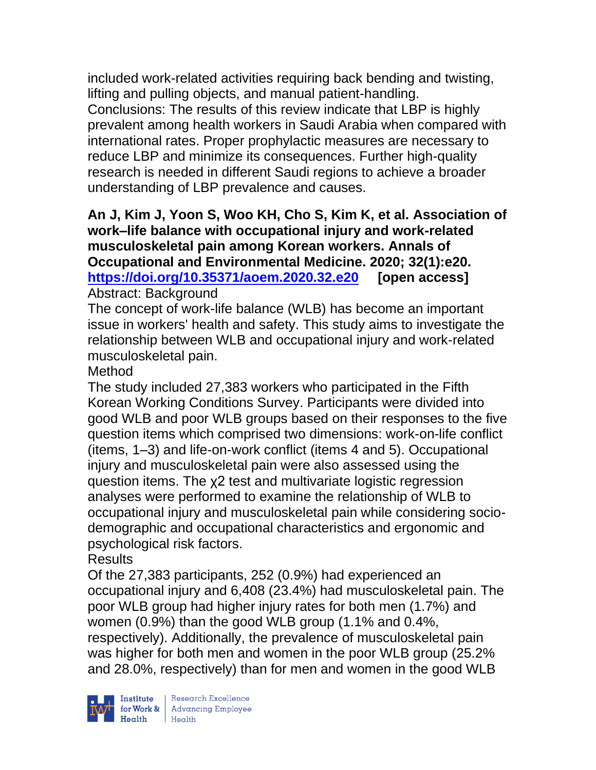included work-related activities requiring back bending and twisting, lifting and pulling objects, and manual patient-handling. Conclusions: The results of this review indicate that LBP is highly prevalent among health workers in Saudi Arabia when compared with international rates. Proper prophylactic measures are necessary to reduce LBP and minimize its consequences. Further high-quality research is needed in different Saudi regions to achieve a broader understanding of LBP prevalence and causes.

**An J, Kim J, Yoon S, Woo KH, Cho S, Kim K, et al. Association of work–life balance with occupational injury and work-related musculoskeletal pain among Korean workers. Annals of Occupational and Environmental Medicine. 2020; 32(1):e20. <https://doi.org/10.35371/aoem.2020.32.e20> [open access]** Abstract: Background

The concept of work-life balance (WLB) has become an important issue in workers' health and safety. This study aims to investigate the relationship between WLB and occupational injury and work-related musculoskeletal pain.

#### Method

The study included 27,383 workers who participated in the Fifth Korean Working Conditions Survey. Participants were divided into good WLB and poor WLB groups based on their responses to the five question items which comprised two dimensions: work-on-life conflict (items, 1–3) and life-on-work conflict (items 4 and 5). Occupational injury and musculoskeletal pain were also assessed using the question items. The χ2 test and multivariate logistic regression analyses were performed to examine the relationship of WLB to occupational injury and musculoskeletal pain while considering sociodemographic and occupational characteristics and ergonomic and psychological risk factors.

### Results

Of the 27,383 participants, 252 (0.9%) had experienced an occupational injury and 6,408 (23.4%) had musculoskeletal pain. The poor WLB group had higher injury rates for both men (1.7%) and women (0.9%) than the good WLB group (1.1% and 0.4%, respectively). Additionally, the prevalence of musculoskeletal pain was higher for both men and women in the poor WLB group (25.2% and 28.0%, respectively) than for men and women in the good WLB

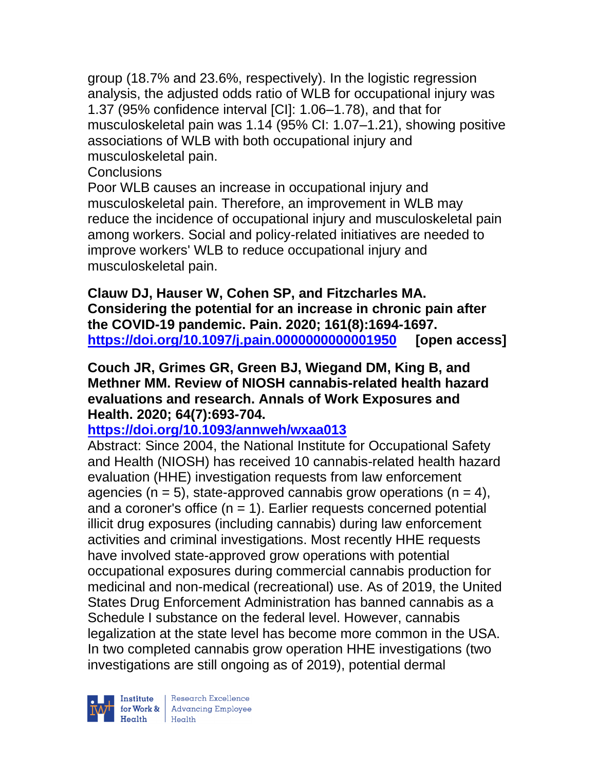group (18.7% and 23.6%, respectively). In the logistic regression analysis, the adjusted odds ratio of WLB for occupational injury was 1.37 (95% confidence interval [CI]: 1.06–1.78), and that for musculoskeletal pain was 1.14 (95% CI: 1.07–1.21), showing positive associations of WLB with both occupational injury and musculoskeletal pain.

**Conclusions** 

Poor WLB causes an increase in occupational injury and musculoskeletal pain. Therefore, an improvement in WLB may reduce the incidence of occupational injury and musculoskeletal pain among workers. Social and policy-related initiatives are needed to improve workers' WLB to reduce occupational injury and musculoskeletal pain.

**Clauw DJ, Hauser W, Cohen SP, and Fitzcharles MA. Considering the potential for an increase in chronic pain after the COVID-19 pandemic. Pain. 2020; 161(8):1694-1697. <https://doi.org/10.1097/j.pain.0000000000001950> [open access]**

**Couch JR, Grimes GR, Green BJ, Wiegand DM, King B, and Methner MM. Review of NIOSH cannabis-related health hazard evaluations and research. Annals of Work Exposures and Health. 2020; 64(7):693-704.** 

**<https://doi.org/10.1093/annweh/wxaa013>** 

Abstract: Since 2004, the National Institute for Occupational Safety and Health (NIOSH) has received 10 cannabis-related health hazard evaluation (HHE) investigation requests from law enforcement agencies ( $n = 5$ ), state-approved cannabis grow operations ( $n = 4$ ), and a coroner's office  $(n = 1)$ . Earlier requests concerned potential illicit drug exposures (including cannabis) during law enforcement activities and criminal investigations. Most recently HHE requests have involved state-approved grow operations with potential occupational exposures during commercial cannabis production for medicinal and non-medical (recreational) use. As of 2019, the United States Drug Enforcement Administration has banned cannabis as a Schedule I substance on the federal level. However, cannabis legalization at the state level has become more common in the USA. In two completed cannabis grow operation HHE investigations (two investigations are still ongoing as of 2019), potential dermal

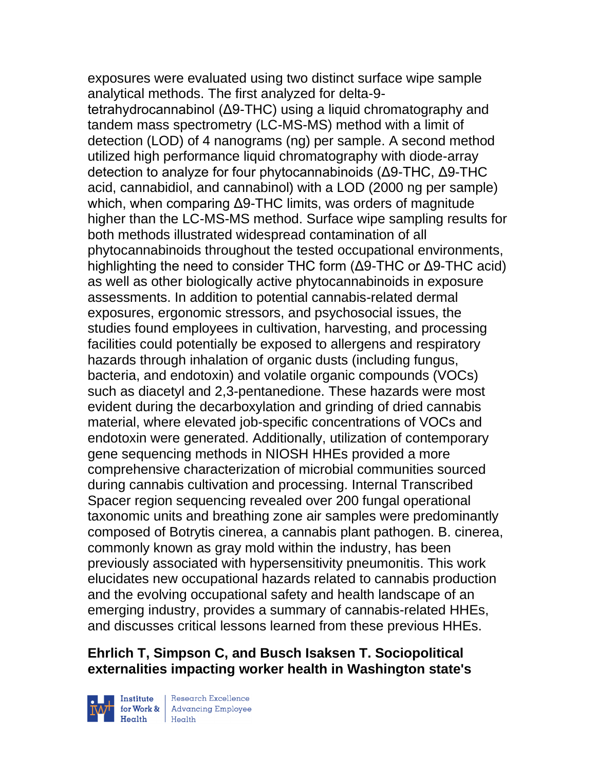exposures were evaluated using two distinct surface wipe sample analytical methods. The first analyzed for delta-9 tetrahydrocannabinol (Δ9-THC) using a liquid chromatography and tandem mass spectrometry (LC-MS-MS) method with a limit of detection (LOD) of 4 nanograms (ng) per sample. A second method utilized high performance liquid chromatography with diode-array detection to analyze for four phytocannabinoids (Δ9-THC, Δ9-THC acid, cannabidiol, and cannabinol) with a LOD (2000 ng per sample) which, when comparing Δ9-THC limits, was orders of magnitude higher than the LC-MS-MS method. Surface wipe sampling results for both methods illustrated widespread contamination of all phytocannabinoids throughout the tested occupational environments, highlighting the need to consider THC form (Δ9-THC or Δ9-THC acid) as well as other biologically active phytocannabinoids in exposure assessments. In addition to potential cannabis-related dermal exposures, ergonomic stressors, and psychosocial issues, the studies found employees in cultivation, harvesting, and processing facilities could potentially be exposed to allergens and respiratory hazards through inhalation of organic dusts (including fungus, bacteria, and endotoxin) and volatile organic compounds (VOCs) such as diacetyl and 2,3-pentanedione. These hazards were most evident during the decarboxylation and grinding of dried cannabis material, where elevated job-specific concentrations of VOCs and endotoxin were generated. Additionally, utilization of contemporary gene sequencing methods in NIOSH HHEs provided a more comprehensive characterization of microbial communities sourced during cannabis cultivation and processing. Internal Transcribed Spacer region sequencing revealed over 200 fungal operational taxonomic units and breathing zone air samples were predominantly composed of Botrytis cinerea, a cannabis plant pathogen. B. cinerea, commonly known as gray mold within the industry, has been previously associated with hypersensitivity pneumonitis. This work elucidates new occupational hazards related to cannabis production and the evolving occupational safety and health landscape of an emerging industry, provides a summary of cannabis-related HHEs, and discusses critical lessons learned from these previous HHEs.

### **Ehrlich T, Simpson C, and Busch Isaksen T. Sociopolitical externalities impacting worker health in Washington state's**



 $\begin{tabular}{|l|} Institute & Research Excellence \\ \hline for Work & Advancing Employee \\ Health & Health \\ \end{tabular}$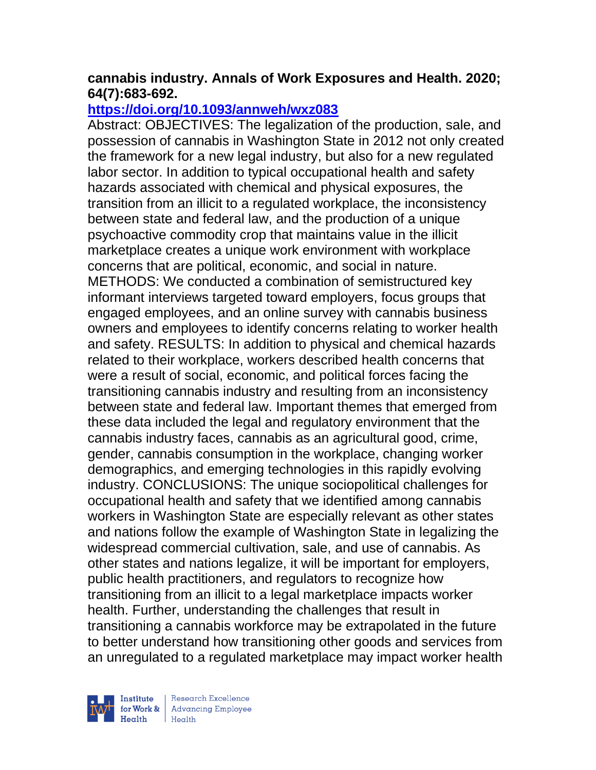#### **cannabis industry. Annals of Work Exposures and Health. 2020; 64(7):683-692.**

#### **<https://doi.org/10.1093/annweh/wxz083>**

Abstract: OBJECTIVES: The legalization of the production, sale, and possession of cannabis in Washington State in 2012 not only created the framework for a new legal industry, but also for a new regulated labor sector. In addition to typical occupational health and safety hazards associated with chemical and physical exposures, the transition from an illicit to a regulated workplace, the inconsistency between state and federal law, and the production of a unique psychoactive commodity crop that maintains value in the illicit marketplace creates a unique work environment with workplace concerns that are political, economic, and social in nature. METHODS: We conducted a combination of semistructured key informant interviews targeted toward employers, focus groups that engaged employees, and an online survey with cannabis business owners and employees to identify concerns relating to worker health and safety. RESULTS: In addition to physical and chemical hazards related to their workplace, workers described health concerns that were a result of social, economic, and political forces facing the transitioning cannabis industry and resulting from an inconsistency between state and federal law. Important themes that emerged from these data included the legal and regulatory environment that the cannabis industry faces, cannabis as an agricultural good, crime, gender, cannabis consumption in the workplace, changing worker demographics, and emerging technologies in this rapidly evolving industry. CONCLUSIONS: The unique sociopolitical challenges for occupational health and safety that we identified among cannabis workers in Washington State are especially relevant as other states and nations follow the example of Washington State in legalizing the widespread commercial cultivation, sale, and use of cannabis. As other states and nations legalize, it will be important for employers, public health practitioners, and regulators to recognize how transitioning from an illicit to a legal marketplace impacts worker health. Further, understanding the challenges that result in transitioning a cannabis workforce may be extrapolated in the future to better understand how transitioning other goods and services from an unregulated to a regulated marketplace may impact worker health

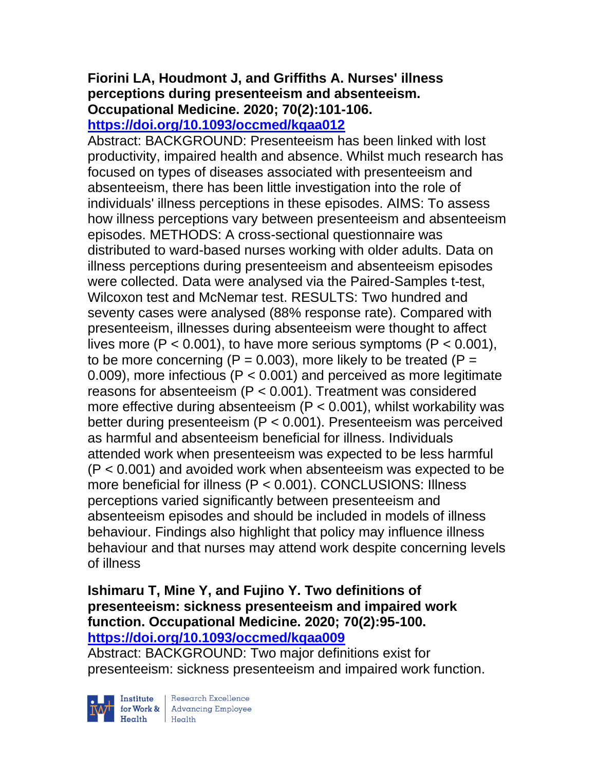### **Fiorini LA, Houdmont J, and Griffiths A. Nurses' illness perceptions during presenteeism and absenteeism. Occupational Medicine. 2020; 70(2):101-106.**

#### **<https://doi.org/10.1093/occmed/kqaa012>**

Abstract: BACKGROUND: Presenteeism has been linked with lost productivity, impaired health and absence. Whilst much research has focused on types of diseases associated with presenteeism and absenteeism, there has been little investigation into the role of individuals' illness perceptions in these episodes. AIMS: To assess how illness perceptions vary between presenteeism and absenteeism episodes. METHODS: A cross-sectional questionnaire was distributed to ward-based nurses working with older adults. Data on illness perceptions during presenteeism and absenteeism episodes were collected. Data were analysed via the Paired-Samples t-test, Wilcoxon test and McNemar test. RESULTS: Two hundred and seventy cases were analysed (88% response rate). Compared with presenteeism, illnesses during absenteeism were thought to affect lives more ( $P < 0.001$ ), to have more serious symptoms ( $P < 0.001$ ), to be more concerning ( $P = 0.003$ ), more likely to be treated ( $P =$ 0.009), more infectious ( $P < 0.001$ ) and perceived as more legitimate reasons for absenteeism (P < 0.001). Treatment was considered more effective during absenteeism ( $P < 0.001$ ), whilst workability was better during presenteeism (P < 0.001). Presenteeism was perceived as harmful and absenteeism beneficial for illness. Individuals attended work when presenteeism was expected to be less harmful (P < 0.001) and avoided work when absenteeism was expected to be more beneficial for illness (P < 0.001). CONCLUSIONS: Illness perceptions varied significantly between presenteeism and absenteeism episodes and should be included in models of illness behaviour. Findings also highlight that policy may influence illness behaviour and that nurses may attend work despite concerning levels of illness

#### **Ishimaru T, Mine Y, and Fujino Y. Two definitions of presenteeism: sickness presenteeism and impaired work function. Occupational Medicine. 2020; 70(2):95-100. <https://doi.org/10.1093/occmed/kqaa009>**

Abstract: BACKGROUND: Two major definitions exist for presenteeism: sickness presenteeism and impaired work function.



| Research Excellence Institute Research Excellence<br>
for Work & Advancing Employee<br>
Health Health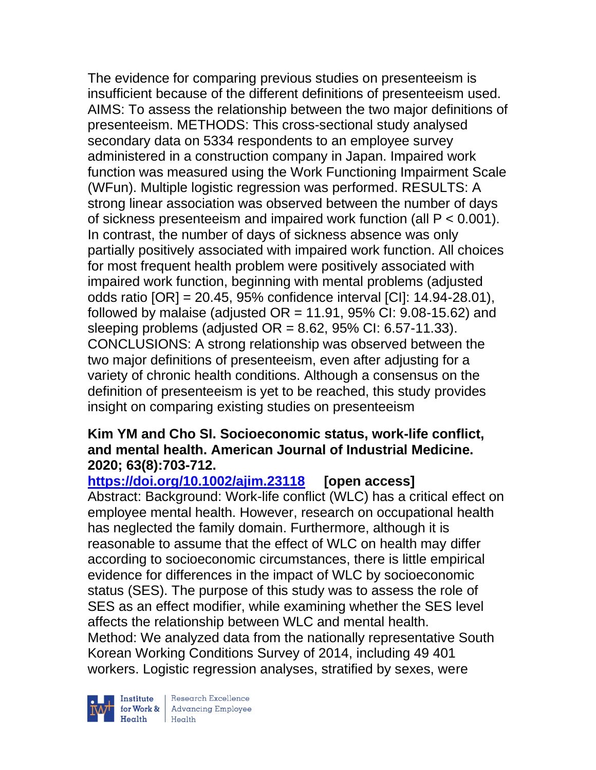The evidence for comparing previous studies on presenteeism is insufficient because of the different definitions of presenteeism used. AIMS: To assess the relationship between the two major definitions of presenteeism. METHODS: This cross-sectional study analysed secondary data on 5334 respondents to an employee survey administered in a construction company in Japan. Impaired work function was measured using the Work Functioning Impairment Scale (WFun). Multiple logistic regression was performed. RESULTS: A strong linear association was observed between the number of days of sickness presenteeism and impaired work function (all P < 0.001). In contrast, the number of days of sickness absence was only partially positively associated with impaired work function. All choices for most frequent health problem were positively associated with impaired work function, beginning with mental problems (adjusted odds ratio [OR] = 20.45, 95% confidence interval [CI]: 14.94-28.01), followed by malaise (adjusted  $OR = 11.91$ , 95% CI: 9.08-15.62) and sleeping problems (adjusted  $OR = 8.62$ , 95% CI: 6.57-11.33). CONCLUSIONS: A strong relationship was observed between the two major definitions of presenteeism, even after adjusting for a variety of chronic health conditions. Although a consensus on the definition of presenteeism is yet to be reached, this study provides insight on comparing existing studies on presenteeism

#### **Kim YM and Cho SI. Socioeconomic status, work-life conflict, and mental health. American Journal of Industrial Medicine. 2020; 63(8):703-712.**

**<https://doi.org/10.1002/ajim.23118> [open access]**

Abstract: Background: Work-life conflict (WLC) has a critical effect on employee mental health. However, research on occupational health has neglected the family domain. Furthermore, although it is reasonable to assume that the effect of WLC on health may differ according to socioeconomic circumstances, there is little empirical evidence for differences in the impact of WLC by socioeconomic status (SES). The purpose of this study was to assess the role of SES as an effect modifier, while examining whether the SES level affects the relationship between WLC and mental health. Method: We analyzed data from the nationally representative South Korean Working Conditions Survey of 2014, including 49 401 workers. Logistic regression analyses, stratified by sexes, were

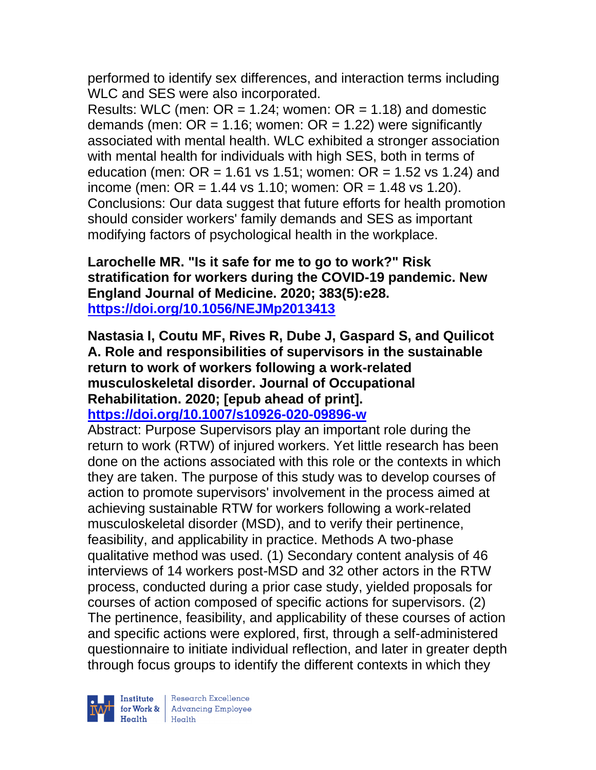performed to identify sex differences, and interaction terms including WLC and SES were also incorporated.

Results: WLC (men:  $OR = 1.24$ ; women:  $OR = 1.18$ ) and domestic demands (men:  $OR = 1.16$ ; women:  $OR = 1.22$ ) were significantly associated with mental health. WLC exhibited a stronger association with mental health for individuals with high SES, both in terms of education (men:  $OR = 1.61$  vs 1.51; women:  $OR = 1.52$  vs 1.24) and income (men:  $OR = 1.44$  vs 1.10; women:  $OR = 1.48$  vs 1.20). Conclusions: Our data suggest that future efforts for health promotion should consider workers' family demands and SES as important modifying factors of psychological health in the workplace.

**Larochelle MR. "Is it safe for me to go to work?" Risk stratification for workers during the COVID-19 pandemic. New England Journal of Medicine. 2020; 383(5):e28. <https://doi.org/10.1056/NEJMp2013413>** 

## **Nastasia I, Coutu MF, Rives R, Dube J, Gaspard S, and Quilicot A. Role and responsibilities of supervisors in the sustainable return to work of workers following a work-related musculoskeletal disorder. Journal of Occupational Rehabilitation. 2020; [epub ahead of print].**

#### **<https://doi.org/10.1007/s10926-020-09896-w>**

Abstract: Purpose Supervisors play an important role during the return to work (RTW) of injured workers. Yet little research has been done on the actions associated with this role or the contexts in which they are taken. The purpose of this study was to develop courses of action to promote supervisors' involvement in the process aimed at achieving sustainable RTW for workers following a work-related musculoskeletal disorder (MSD), and to verify their pertinence, feasibility, and applicability in practice. Methods A two-phase qualitative method was used. (1) Secondary content analysis of 46 interviews of 14 workers post-MSD and 32 other actors in the RTW process, conducted during a prior case study, yielded proposals for courses of action composed of specific actions for supervisors. (2) The pertinence, feasibility, and applicability of these courses of action and specific actions were explored, first, through a self-administered questionnaire to initiate individual reflection, and later in greater depth through focus groups to identify the different contexts in which they

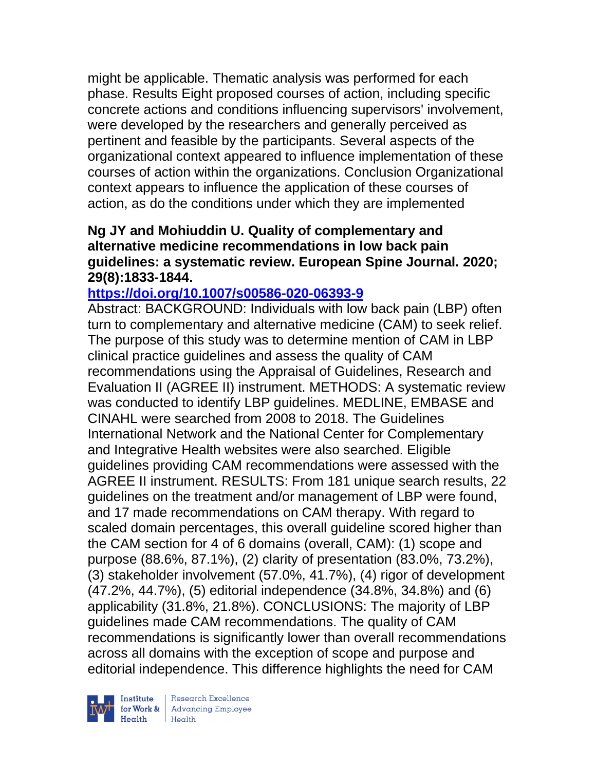might be applicable. Thematic analysis was performed for each phase. Results Eight proposed courses of action, including specific concrete actions and conditions influencing supervisors' involvement, were developed by the researchers and generally perceived as pertinent and feasible by the participants. Several aspects of the organizational context appeared to influence implementation of these courses of action within the organizations. Conclusion Organizational context appears to influence the application of these courses of action, as do the conditions under which they are implemented

#### **Ng JY and Mohiuddin U. Quality of complementary and alternative medicine recommendations in low back pain guidelines: a systematic review. European Spine Journal. 2020; 29(8):1833-1844.**

### **<https://doi.org/10.1007/s00586-020-06393-9>**

Abstract: BACKGROUND: Individuals with low back pain (LBP) often turn to complementary and alternative medicine (CAM) to seek relief. The purpose of this study was to determine mention of CAM in LBP clinical practice guidelines and assess the quality of CAM recommendations using the Appraisal of Guidelines, Research and Evaluation II (AGREE II) instrument. METHODS: A systematic review was conducted to identify LBP guidelines. MEDLINE, EMBASE and CINAHL were searched from 2008 to 2018. The Guidelines International Network and the National Center for Complementary and Integrative Health websites were also searched. Eligible guidelines providing CAM recommendations were assessed with the AGREE II instrument. RESULTS: From 181 unique search results, 22 guidelines on the treatment and/or management of LBP were found, and 17 made recommendations on CAM therapy. With regard to scaled domain percentages, this overall guideline scored higher than the CAM section for 4 of 6 domains (overall, CAM): (1) scope and purpose (88.6%, 87.1%), (2) clarity of presentation (83.0%, 73.2%), (3) stakeholder involvement (57.0%, 41.7%), (4) rigor of development (47.2%, 44.7%), (5) editorial independence (34.8%, 34.8%) and (6) applicability (31.8%, 21.8%). CONCLUSIONS: The majority of LBP guidelines made CAM recommendations. The quality of CAM recommendations is significantly lower than overall recommendations across all domains with the exception of scope and purpose and editorial independence. This difference highlights the need for CAM

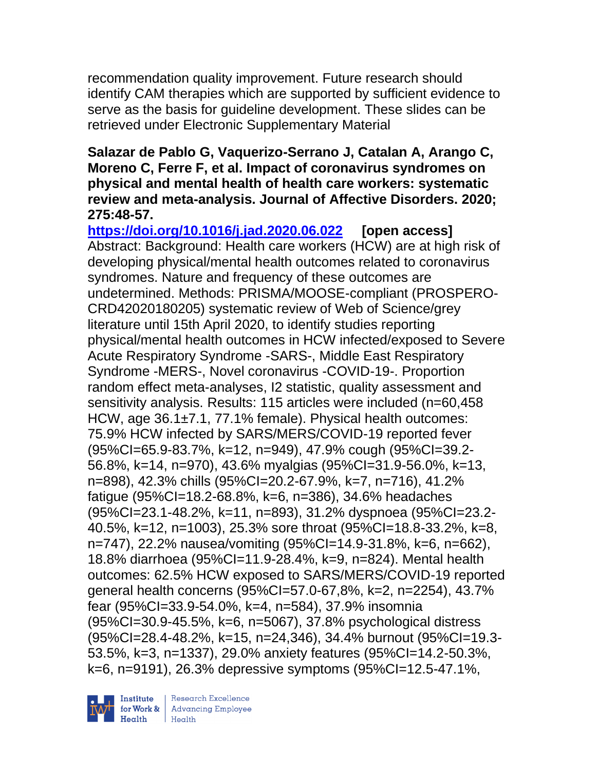recommendation quality improvement. Future research should identify CAM therapies which are supported by sufficient evidence to serve as the basis for guideline development. These slides can be retrieved under Electronic Supplementary Material

#### **Salazar de Pablo G, Vaquerizo-Serrano J, Catalan A, Arango C, Moreno C, Ferre F, et al. Impact of coronavirus syndromes on physical and mental health of health care workers: systematic review and meta-analysis. Journal of Affective Disorders. 2020; 275:48-57.**

**<https://doi.org/10.1016/j.jad.2020.06.022> [open access]** Abstract: Background: Health care workers (HCW) are at high risk of developing physical/mental health outcomes related to coronavirus syndromes. Nature and frequency of these outcomes are undetermined. Methods: PRISMA/MOOSE-compliant (PROSPERO-CRD42020180205) systematic review of Web of Science/grey literature until 15th April 2020, to identify studies reporting physical/mental health outcomes in HCW infected/exposed to Severe Acute Respiratory Syndrome -SARS-, Middle East Respiratory Syndrome -MERS-, Novel coronavirus -COVID-19-. Proportion random effect meta-analyses, I2 statistic, quality assessment and sensitivity analysis. Results: 115 articles were included (n=60,458 HCW, age 36.1±7.1, 77.1% female). Physical health outcomes: 75.9% HCW infected by SARS/MERS/COVID-19 reported fever (95%CI=65.9-83.7%, k=12, n=949), 47.9% cough (95%CI=39.2- 56.8%, k=14, n=970), 43.6% myalgias (95%CI=31.9-56.0%, k=13, n=898), 42.3% chills (95%CI=20.2-67.9%, k=7, n=716), 41.2% fatigue (95%CI=18.2-68.8%, k=6, n=386), 34.6% headaches (95%CI=23.1-48.2%, k=11, n=893), 31.2% dyspnoea (95%CI=23.2- 40.5%, k=12, n=1003), 25.3% sore throat (95%CI=18.8-33.2%, k=8, n=747), 22.2% nausea/vomiting (95%CI=14.9-31.8%, k=6, n=662), 18.8% diarrhoea (95%CI=11.9-28.4%, k=9, n=824). Mental health outcomes: 62.5% HCW exposed to SARS/MERS/COVID-19 reported general health concerns (95%CI=57.0-67,8%, k=2, n=2254), 43.7% fear (95%CI=33.9-54.0%, k=4, n=584), 37.9% insomnia (95%CI=30.9-45.5%, k=6, n=5067), 37.8% psychological distress (95%CI=28.4-48.2%, k=15, n=24,346), 34.4% burnout (95%CI=19.3- 53.5%, k=3, n=1337), 29.0% anxiety features (95%CI=14.2-50.3%, k=6, n=9191), 26.3% depressive symptoms (95%CI=12.5-47.1%,

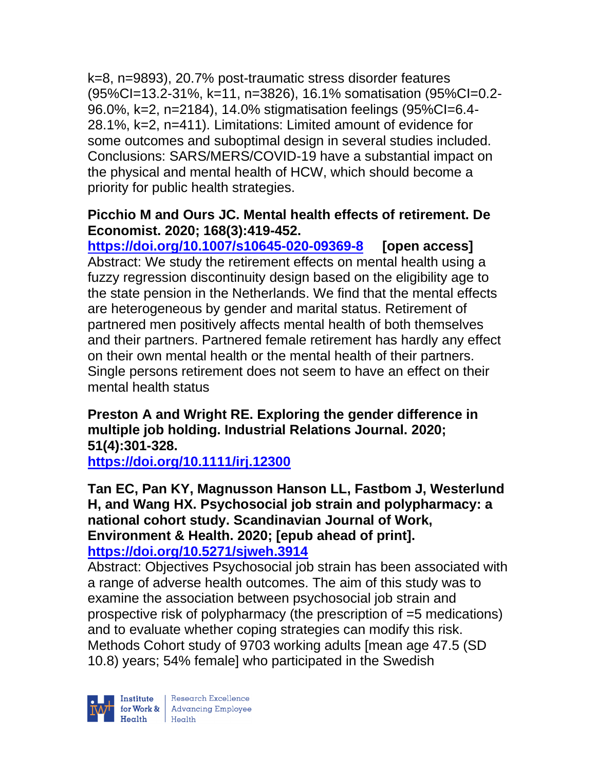k=8, n=9893), 20.7% post-traumatic stress disorder features (95%CI=13.2-31%, k=11, n=3826), 16.1% somatisation (95%CI=0.2- 96.0%, k=2, n=2184), 14.0% stigmatisation feelings (95%CI=6.4- 28.1%, k=2, n=411). Limitations: Limited amount of evidence for some outcomes and suboptimal design in several studies included. Conclusions: SARS/MERS/COVID-19 have a substantial impact on the physical and mental health of HCW, which should become a priority for public health strategies.

### **Picchio M and Ours JC. Mental health effects of retirement. De Economist. 2020; 168(3):419-452.**

**<https://doi.org/10.1007/s10645-020-09369-8> [open access]** Abstract: We study the retirement effects on mental health using a fuzzy regression discontinuity design based on the eligibility age to the state pension in the Netherlands. We find that the mental effects are heterogeneous by gender and marital status. Retirement of partnered men positively affects mental health of both themselves and their partners. Partnered female retirement has hardly any effect on their own mental health or the mental health of their partners. Single persons retirement does not seem to have an effect on their mental health status

# **Preston A and Wright RE. Exploring the gender difference in multiple job holding. Industrial Relations Journal. 2020; 51(4):301-328.**

**<https://doi.org/10.1111/irj.12300>** 

**Tan EC, Pan KY, Magnusson Hanson LL, Fastbom J, Westerlund H, and Wang HX. Psychosocial job strain and polypharmacy: a national cohort study. Scandinavian Journal of Work, Environment & Health. 2020; [epub ahead of print]. <https://doi.org/10.5271/sjweh.3914>** 

Abstract: Objectives Psychosocial job strain has been associated with a range of adverse health outcomes. The aim of this study was to examine the association between psychosocial job strain and prospective risk of polypharmacy (the prescription of =5 medications) and to evaluate whether coping strategies can modify this risk. Methods Cohort study of 9703 working adults [mean age 47.5 (SD 10.8) years; 54% female] who participated in the Swedish